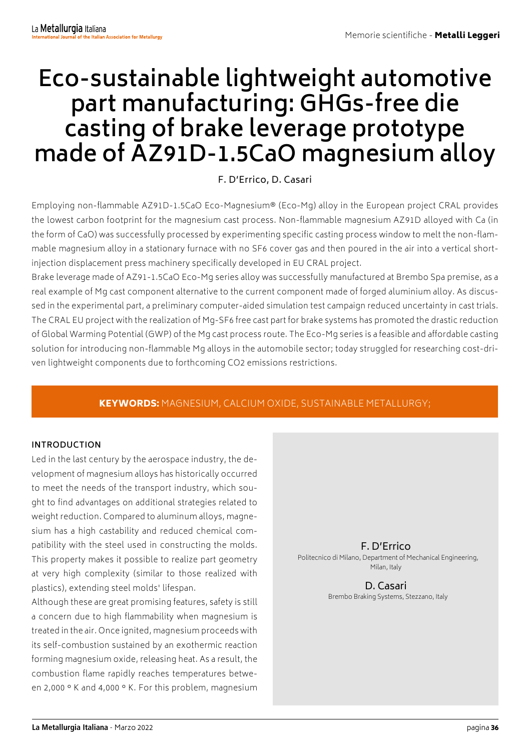# **Eco-sustainable lightweight automotive part manufacturing: GHGs-free die casting of brake leverage prototype made of AZ91D-1.5CaO magnesium alloy**

# F. D'Errico, D. Casari

Employing non-flammable AZ91D-1.5CaO Eco-Magnesium® (Eco-Mg) alloy in the European project CRAL provides the lowest carbon footprint for the magnesium cast process. Non-flammable magnesium AZ91D alloyed with Ca (in the form of CaO) was successfully processed by experimenting specific casting process window to melt the non-flammable magnesium alloy in a stationary furnace with no SF6 cover gas and then poured in the air into a vertical shortinjection displacement press machinery specifically developed in EU CRAL project.

Brake leverage made of AZ91-1.5CaO Eco-Mg series alloy was successfully manufactured at Brembo Spa premise, as a real example of Mg cast component alternative to the current component made of forged aluminium alloy. As discussed in the experimental part, a preliminary computer-aided simulation test campaign reduced uncertainty in cast trials. The CRAL EU project with the realization of Mg-SF6 free cast part for brake systems has promoted the drastic reduction of Global Warming Potential (GWP) of the Mg cast process route. The Eco-Mg series is a feasible and affordable casting solution for introducing non-flammable Mg alloys in the automobile sector; today struggled for researching cost-driven lightweight components due to forthcoming CO2 emissions restrictions.

# KEYWORDS: MAGNESIUM, CALCIUM OXIDE, SUSTAINABLE METALLURGY;

## **INTRODUCTION**

Led in the last century by the aerospace industry, the development of magnesium alloys has historically occurred to meet the needs of the transport industry, which sought to find advantages on additional strategies related to weight reduction. Compared to aluminum alloys, magnesium has a high castability and reduced chemical compatibility with the steel used in constructing the molds. This property makes it possible to realize part geometry at very high complexity (similar to those realized with plastics), extending steel molds' lifespan.

Although these are great promising features, safety is still a concern due to high flammability when magnesium is treated in the air. Once ignited, magnesium proceeds with its self-combustion sustained by an exothermic reaction forming magnesium oxide, releasing heat. As a result, the combustion flame rapidly reaches temperatures between 2,000 ° K and 4,000 ° K. For this problem, magnesium

F. D'Errico Politecnico di Milano, Department of Mechanical Engineering, Milan, Italy

**D. Casari**<br>Brembo Braking Systems, Stezzano, Italy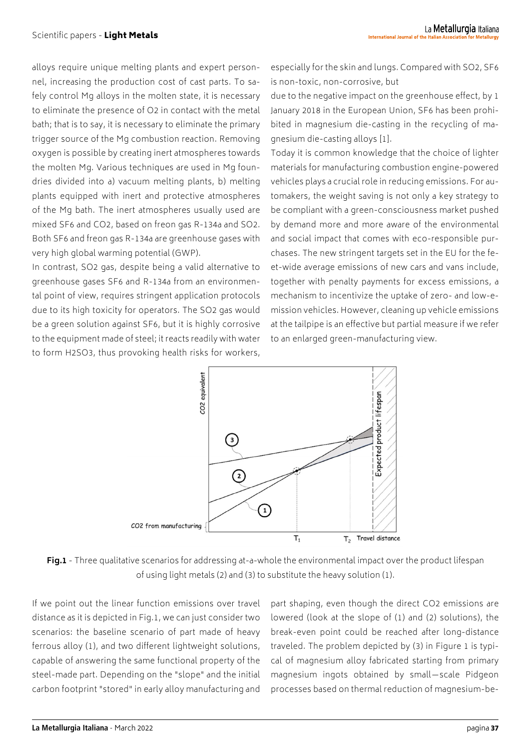alloys require unique melting plants and expert personnel, increasing the production cost of cast parts. To safely control Mg alloys in the molten state, it is necessary to eliminate the presence of O2 in contact with the metal bath; that is to say, it is necessary to eliminate the primary trigger source of the Mg combustion reaction. Removing oxygen is possible by creating inert atmospheres towards the molten Mg. Various techniques are used in Mg foundries divided into a) vacuum melting plants, b) melting plants equipped with inert and protective atmospheres of the Mg bath. The inert atmospheres usually used are mixed SF6 and CO2, based on freon gas R-134a and SO2. Both SF6 and freon gas R-134a are greenhouse gases with very high global warming potential (GWP).

In contrast, SO2 gas, despite being a valid alternative to greenhouse gases SF6 and R-134a from an environmental point of view, requires stringent application protocols due to its high toxicity for operators. The SO2 gas would be a green solution against SF6, but it is highly corrosive to the equipment made of steel; it reacts readily with water to form H2SO3, thus provoking health risks for workers,

especially for the skin and lungs. Compared with SO2, SF6 is non-toxic, non-corrosive, but

due to the negative impact on the greenhouse effect, by 1 January 2018 in the European Union, SF6 has been prohibited in magnesium die-casting in the recycling of magnesium die-casting alloys [1].

Today it is common knowledge that the choice of lighter materials for manufacturing combustion engine-powered vehicles plays a crucial role in reducing emissions. For automakers, the weight saving is not only a key strategy to be compliant with a green-consciousness market pushed by demand more and more aware of the environmental and social impact that comes with eco-responsible purchases. The new stringent targets set in the EU for the feet-wide average emissions of new cars and vans include, together with penalty payments for excess emissions, a mechanism to incentivize the uptake of zero- and low-emission vehicles. However, cleaning up vehicle emissions at the tailpipe is an effective but partial measure if we refer to an enlarged green-manufacturing view.



**Fig.1** - Three qualitative scenarios for addressing at-a-whole the environmental impact over the product lifespan of using light metals (2) and (3) to substitute the heavy solution (1).

If we point out the linear function emissions over travel distance as it is depicted in Fig.1, we can just consider two scenarios: the baseline scenario of part made of heavy ferrous alloy (1), and two different lightweight solutions, capable of answering the same functional property of the steel-made part. Depending on the "slope" and the initial carbon footprint "stored" in early alloy manufacturing and

part shaping, even though the direct CO2 emissions are lowered (look at the slope of (1) and (2) solutions), the break-even point could be reached after long-distance traveled. The problem depicted by (3) in Figure 1 is typical of magnesium alloy fabricated starting from primary magnesium ingots obtained by small—scale Pidgeon processes based on thermal reduction of magnesium-be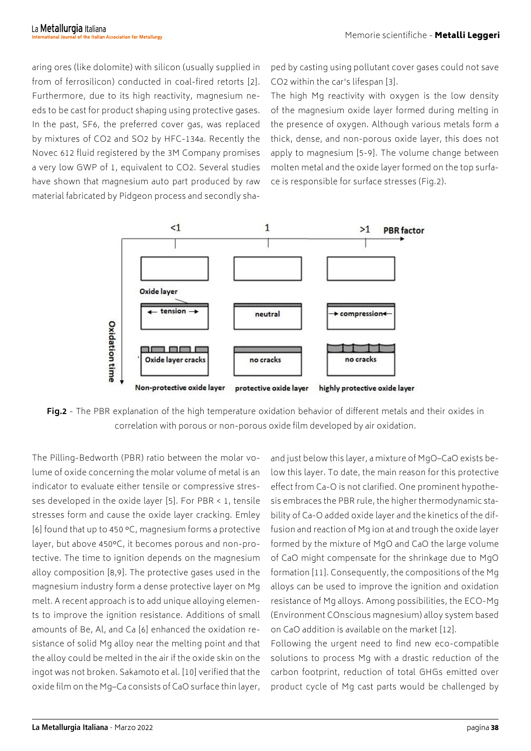aring ores (like dolomite) with silicon (usually supplied in from of ferrosilicon) conducted in coal-fired retorts [2]. Furthermore, due to its high reactivity, magnesium needs to be cast for product shaping using protective gases. In the past, SF6, the preferred cover gas, was replaced by mixtures of CO2 and SO2 by HFC-134a. Recently the Novec 612 fluid registered by the 3M Company promises a very low GWP of 1, equivalent to CO2. Several studies have shown that magnesium auto part produced by raw material fabricated by Pidgeon process and secondly shaped by casting using pollutant cover gases could not save CO2 within the car's lifespan [3].

The high Mg reactivity with oxygen is the low density of the magnesium oxide layer formed during melting in the presence of oxygen. Although various metals form a thick, dense, and non-porous oxide layer, this does not apply to magnesium [5-9]. The volume change between molten metal and the oxide layer formed on the top surface is responsible for surface stresses (Fig.2).



**Fig.2** - The PBR explanation of the high temperature oxidation behavior of different metals and their oxides in correlation with porous or non-porous oxide film developed by air oxidation.

The Pilling-Bedworth (PBR) ratio between the molar volume of oxide concerning the molar volume of metal is an indicator to evaluate either tensile or compressive stresses developed in the oxide layer [5]. For PBR < 1, tensile stresses form and cause the oxide layer cracking. Emley [6] found that up to 450 °C, magnesium forms a protective layer, but above 450°C, it becomes porous and non-protective. The time to ignition depends on the magnesium alloy composition [8,9]. The protective gases used in the magnesium industry form a dense protective layer on Mg melt. A recent approach is to add unique alloying elements to improve the ignition resistance. Additions of small amounts of Be, Al, and Ca [6] enhanced the oxidation resistance of solid Mg alloy near the melting point and that the alloy could be melted in the air if the oxide skin on the ingot was not broken. Sakamoto et al. [10] verified that the oxide film on the Mg–Ca consists of CaO surface thin layer, and just below this layer, a mixture of MgO–CaO exists below this layer. To date, the main reason for this protective effect from Ca-O is not clarified. One prominent hypothesis embraces the PBR rule, the higher thermodynamic stability of Ca-O added oxide layer and the kinetics of the diffusion and reaction of Mg ion at and trough the oxide layer formed by the mixture of MgO and CaO the large volume of CaO might compensate for the shrinkage due to MgO formation [11]. Consequently, the compositions of the Mg alloys can be used to improve the ignition and oxidation resistance of Mg alloys. Among possibilities, the ECO-Mg (Environment COnscious magnesium) alloy system based on CaO addition is available on the market [12].

Following the urgent need to find new eco-compatible solutions to process Mg with a drastic reduction of the carbon footprint, reduction of total GHGs emitted over product cycle of Mg cast parts would be challenged by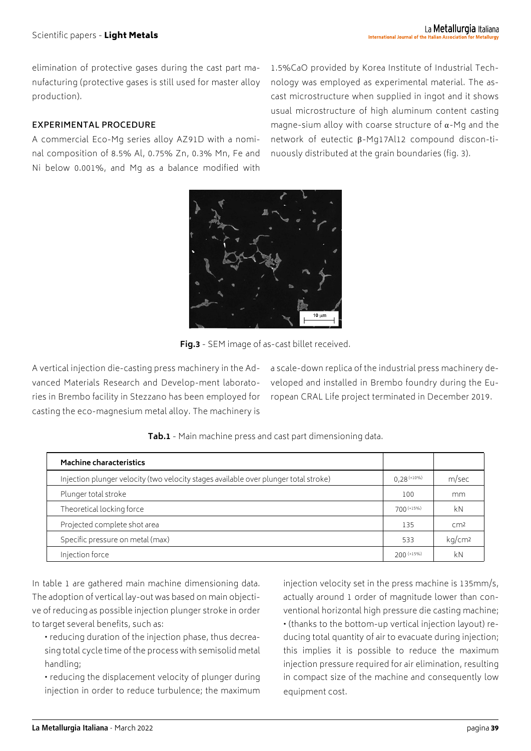elimination of protective gases during the cast part manufacturing (protective gases is still used for master alloy production).

# **EXPERIMENTAL PROCEDURE**

A commercial Eco-Mg series alloy AZ91D with a nominal composition of 8.5% Al, 0.75% Zn, 0.3% Mn, Fe and Ni below 0.001%, and Mg as a balance modified with 1.5%CaO provided by Korea Institute of Industrial Technology was employed as experimental material. The ascast microstructure when supplied in ingot and it shows usual microstructure of high aluminum content casting magne-sium alloy with coarse structure of  $\alpha$ -Mg and the network of eutectic β-Mg17Al12 compound discon-tinuously distributed at the grain boundaries (fig. 3).



**Fig.3** - SEM image of as-cast billet received.

A vertical injection die-casting press machinery in the Advanced Materials Research and Develop-ment laboratories in Brembo facility in Stezzano has been employed for casting the eco-magnesium metal alloy. The machinery is

a scale-down replica of the industrial press machinery developed and installed in Brembo foundry during the European CRAL Life project terminated in December 2019.

**Machine characteristics** Injection plunger velocity (two velocity stages available over plunger total stroke)  $0,28$  (+10%) m/sec Plunger total stroke 100 mm Theoretical locking force 700 (+15%) kN Projected complete shot area 135 cm² Specific pressure on metal (max) 533 kg/cm² Injection force 200 (+15%) kN

**Tab.1** - Main machine press and cast part dimensioning data.

In table 1 are gathered main machine dimensioning data. The adoption of vertical lay-out was based on main objective of reducing as possible injection plunger stroke in order to target several benefits, such as:

• reducing duration of the injection phase, thus decreasing total cycle time of the process with semisolid metal handling;

• reducing the displacement velocity of plunger during injection in order to reduce turbulence; the maximum injection velocity set in the press machine is 135mm/s, actually around 1 order of magnitude lower than conventional horizontal high pressure die casting machine; • (thanks to the bottom-up vertical injection layout) reducing total quantity of air to evacuate during injection; this implies it is possible to reduce the maximum injection pressure required for air elimination, resulting in compact size of the machine and consequently low equipment cost.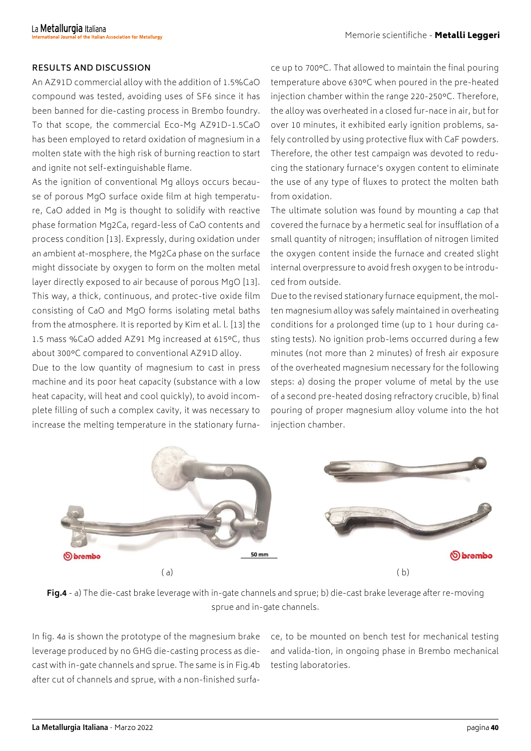### **RESULTS AND DISCUSSION**

An AZ91D commercial alloy with the addition of 1.5%CaO compound was tested, avoiding uses of SF6 since it has been banned for die-casting process in Brembo foundry. To that scope, the commercial Eco-Mg AZ91D-1.5CaO has been employed to retard oxidation of magnesium in a molten state with the high risk of burning reaction to start and ignite not self-extinguishable flame.

As the ignition of conventional Mg alloys occurs because of porous MgO surface oxide film at high temperature, CaO added in Mg is thought to solidify with reactive phase formation Mg2Ca, regard-less of CaO contents and process condition [13]. Expressly, during oxidation under an ambient at-mosphere, the Mg2Ca phase on the surface might dissociate by oxygen to form on the molten metal layer directly exposed to air because of porous MgO [13]. This way, a thick, continuous, and protec-tive oxide film consisting of CaO and MgO forms isolating metal baths from the atmosphere. It is reported by Kim et al. l. [13] the 1.5 mass %CaO added AZ91 Mg increased at 615°C, thus about 300°C compared to conventional AZ91D alloy.

Due to the low quantity of magnesium to cast in press machine and its poor heat capacity (substance with a low heat capacity, will heat and cool quickly), to avoid incomplete filling of such a complex cavity, it was necessary to increase the melting temperature in the stationary furna-

ce up to 700°C. That allowed to maintain the final pouring temperature above 630°C when poured in the pre-heated injection chamber within the range 220-250°C. Therefore, the alloy was overheated in a closed fur-nace in air, but for over 10 minutes, it exhibited early ignition problems, safely controlled by using protective flux with CaF powders. Therefore, the other test campaign was devoted to reducing the stationary furnace's oxygen content to eliminate the use of any type of fluxes to protect the molten bath from oxidation.

The ultimate solution was found by mounting a cap that covered the furnace by a hermetic seal for insufflation of a small quantity of nitrogen; insufflation of nitrogen limited the oxygen content inside the furnace and created slight internal overpressure to avoid fresh oxygen to be introduced from outside.

Due to the revised stationary furnace equipment, the molten magnesium alloy was safely maintained in overheating conditions for a prolonged time (up to 1 hour during casting tests). No ignition prob-lems occurred during a few minutes (not more than 2 minutes) of fresh air exposure of the overheated magnesium necessary for the following steps: a) dosing the proper volume of metal by the use of a second pre-heated dosing refractory crucible, b) final pouring of proper magnesium alloy volume into the hot injection chamber.



**Fig.4** - a) The die-cast brake leverage with in-gate channels and sprue; b) die-cast brake leverage after re-moving sprue and in-gate channels.

In fig. 4a is shown the prototype of the magnesium brake leverage produced by no GHG die-casting process as diecast with in-gate channels and sprue. The same is in Fig.4b after cut of channels and sprue, with a non-finished surface, to be mounted on bench test for mechanical testing and valida-tion, in ongoing phase in Brembo mechanical testing laboratories.